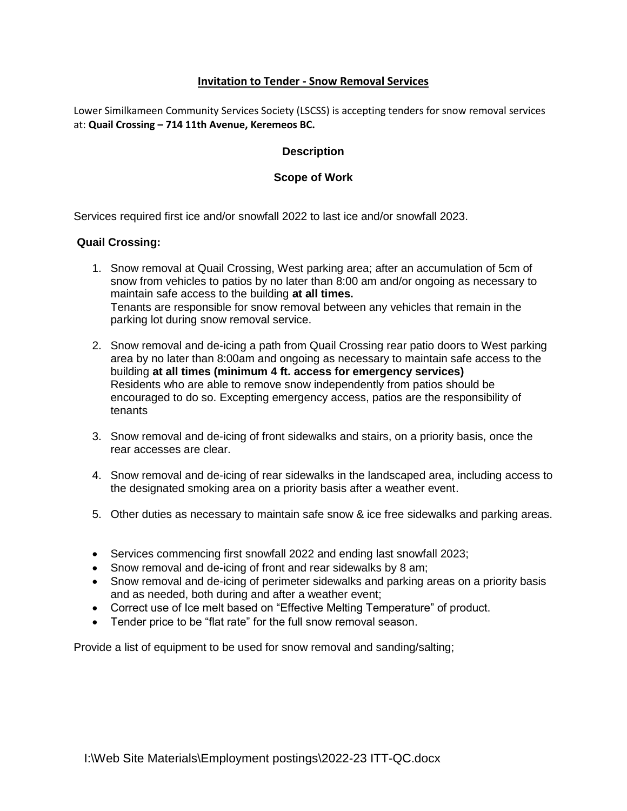# **Invitation to Tender - Snow Removal Services**

Lower Similkameen Community Services Society (LSCSS) is accepting tenders for snow removal services at: **Quail Crossing – 714 11th Avenue, Keremeos BC.**

## **Description**

### **Scope of Work**

Services required first ice and/or snowfall 2022 to last ice and/or snowfall 2023.

#### **Quail Crossing:**

- 1. Snow removal at Quail Crossing, West parking area; after an accumulation of 5cm of snow from vehicles to patios by no later than 8:00 am and/or ongoing as necessary to maintain safe access to the building **at all times.** Tenants are responsible for snow removal between any vehicles that remain in the parking lot during snow removal service.
- 2. Snow removal and de-icing a path from Quail Crossing rear patio doors to West parking area by no later than 8:00am and ongoing as necessary to maintain safe access to the building **at all times (minimum 4 ft. access for emergency services)** Residents who are able to remove snow independently from patios should be encouraged to do so. Excepting emergency access, patios are the responsibility of tenants
- 3. Snow removal and de-icing of front sidewalks and stairs, on a priority basis, once the rear accesses are clear.
- 4. Snow removal and de-icing of rear sidewalks in the landscaped area, including access to the designated smoking area on a priority basis after a weather event.
- 5. Other duties as necessary to maintain safe snow & ice free sidewalks and parking areas.
- Services commencing first snowfall 2022 and ending last snowfall 2023;
- Snow removal and de-icing of front and rear sidewalks by 8 am;
- Snow removal and de-icing of perimeter sidewalks and parking areas on a priority basis and as needed, both during and after a weather event;
- Correct use of Ice melt based on "Effective Melting Temperature" of product.
- Tender price to be "flat rate" for the full snow removal season.

Provide a list of equipment to be used for snow removal and sanding/salting;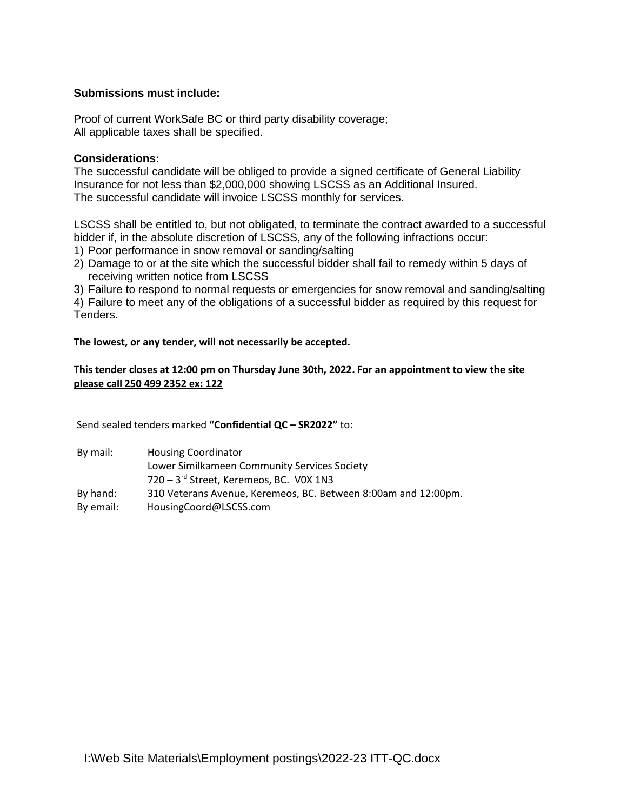## **Submissions must include:**

Proof of current WorkSafe BC or third party disability coverage; All applicable taxes shall be specified.

#### **Considerations:**

The successful candidate will be obliged to provide a signed certificate of General Liability Insurance for not less than \$2,000,000 showing LSCSS as an Additional Insured. The successful candidate will invoice LSCSS monthly for services.

LSCSS shall be entitled to, but not obligated, to terminate the contract awarded to a successful bidder if, in the absolute discretion of LSCSS, any of the following infractions occur:

- 1) Poor performance in snow removal or sanding/salting
- 2) Damage to or at the site which the successful bidder shall fail to remedy within 5 days of receiving written notice from LSCSS

3) Failure to respond to normal requests or emergencies for snow removal and sanding/salting

4) Failure to meet any of the obligations of a successful bidder as required by this request for Tenders.

**The lowest, or any tender, will not necessarily be accepted.**

### **This tender closes at 12:00 pm on Thursday June 30th, 2022. For an appointment to view the site please call 250 499 2352 ex: 122**

Send sealed tenders marked **"Confidential QC – SR2022"** to:

| By mail:  | <b>Housing Coordinator</b>                                     |
|-----------|----------------------------------------------------------------|
|           | Lower Similkameen Community Services Society                   |
|           | 720 - 3rd Street, Keremeos, BC. VOX 1N3                        |
| By hand:  | 310 Veterans Avenue, Keremeos, BC. Between 8:00am and 12:00pm. |
| By email: | HousingCoord@LSCSS.com                                         |